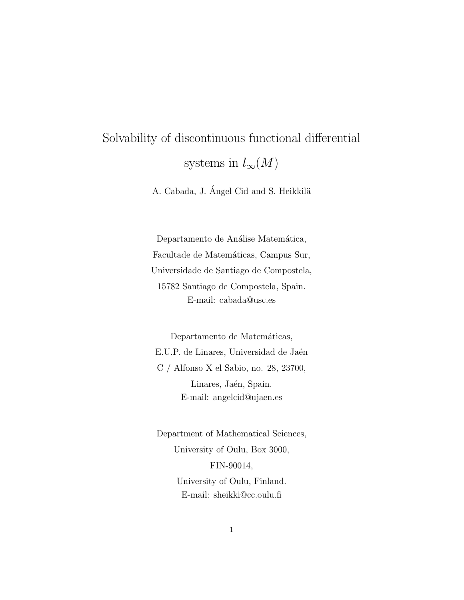# Solvability of discontinuous functional differential systems in  $l_{\infty}(M)$

A. Cabada, J. Ángel Cid and S. Heikkilä

Departamento de Análise Matemática, Facultade de Matemáticas, Campus Sur, Universidade de Santiago de Compostela, 15782 Santiago de Compostela, Spain. E-mail: cabada@usc.es

Departamento de Matemáticas, E.U.P. de Linares, Universidad de Jaén C / Alfonso X el Sabio, no. 28, 23700, Linares, Jaén, Spain. E-mail: angelcid@ujaen.es

Department of Mathematical Sciences, University of Oulu, Box 3000, FIN-90014, University of Oulu, Finland. E-mail: sheikki@cc.oulu.fi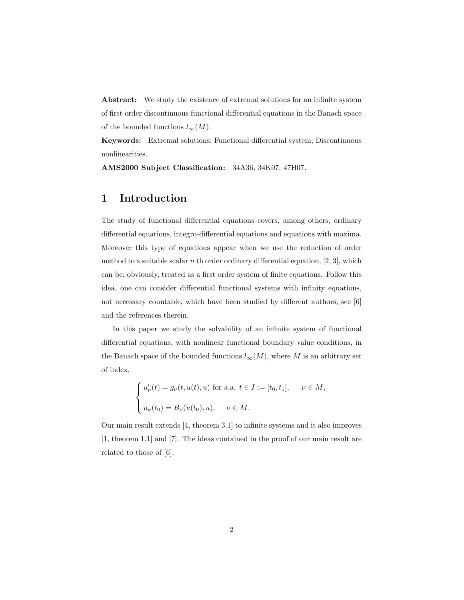Abstract: We study the existence of extremal solutions for an infinite system of first order discontinuous functional differential equations in the Banach space of the bounded functions  $l_{\infty}(M)$ .

Keywords: Extremal solutions; Functional differential system; Discontinuous nonlinearities.

AMS2000 Subject Classification: 34A36, 34K07, 47H07.

#### 1 Introduction

The study of functional differential equations covers, among others, ordinary differential equations, integro-differential equations and equations with maxima. Moreover this type of equations appear when we use the reduction of order method to a suitable scalar  $n$  th order ordinary differential equation, [2, 3], which can be, obviously, treated as a first order system of finite equations. Follow this idea, one can consider differential functional systems with infinity equations, not necessary countable, which have been studied by different authors, see [6] and the references therein.

In this paper we study the solvability of an infinite system of functional differential equations, with nonlinear functional boundary value conditions, in the Banach space of the bounded functions  $l_{\infty}(M)$ , where M is an arbitrary set of index,

$$
\label{eq:2.1} \left\{ \begin{aligned} u'_\nu(t) &= g_\nu(t,u(t),u) \text{ for a.a. } t\in I := [t_0,t_1], \quad \ \nu\in M, \\ u_\nu(t_0) &= B_\nu(u(t_0),u), \quad \nu\in M. \end{aligned} \right.
$$

Our main result extends [4, theorem 3.1] to infinite systems and it also improves [1, theorem 1.1] and [7]. The ideas contained in the proof of our main result are related to those of [6].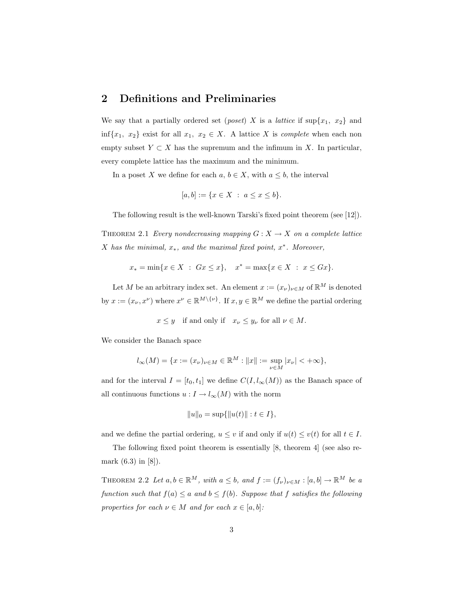#### 2 Definitions and Preliminaries

We say that a partially ordered set (*poset*) X is a *lattice* if  $\sup\{x_1, x_2\}$  and inf $\{x_1, x_2\}$  exist for all  $x_1, x_2 \in X$ . A lattice X is *complete* when each non empty subset  $Y \subset X$  has the supremum and the infimum in X. In particular, every complete lattice has the maximum and the minimum.

In a poset X we define for each  $a, b \in X$ , with  $a \leq b$ , the interval

$$
[a, b] := \{ x \in X \ : \ a \le x \le b \}.
$$

The following result is the well-known Tarski's fixed point theorem (see [12]).

THEOREM 2.1 Every nondecreasing mapping  $G: X \to X$  on a complete lattice X has the minimal,  $x_*$ , and the maximal fixed point,  $x^*$ . Moreover,

$$
x_* = \min\{x \in X : Gx \le x\}, \quad x^* = \max\{x \in X : x \le Gx\}.
$$

Let M be an arbitrary index set. An element  $x := (x_{\nu})_{\nu \in M}$  of  $\mathbb{R}^{M}$  is denoted by  $x := (x_{\nu}, x^{\nu})$  where  $x^{\nu} \in \mathbb{R}^{M \setminus \{\nu\}}$ . If  $x, y \in \mathbb{R}^{M}$  we define the partial ordering

 $x \leq y$  if and only if  $x_{\nu} \leq y_{\nu}$  for all  $\nu \in M$ .

We consider the Banach space

$$
l_{\infty}(M) = \{ x := (x_{\nu})_{\nu \in M} \in \mathbb{R}^{M} : ||x|| := \sup_{\nu \in M} |x_{\nu}| < +\infty \},\
$$

and for the interval  $I = [t_0, t_1]$  we define  $C(I, l_{\infty}(M))$  as the Banach space of all continuous functions  $u: I \to l_{\infty}(M)$  with the norm

$$
||u||_0 = \sup\{||u(t)|| : t \in I\},\
$$

and we define the partial ordering,  $u \leq v$  if and only if  $u(t) \leq v(t)$  for all  $t \in I$ .

The following fixed point theorem is essentially [8, theorem 4] (see also remark (6.3) in [8]).

THEOREM 2.2 Let  $a, b \in \mathbb{R}^M$ , with  $a \leq b$ , and  $f := (f_{\nu})_{\nu \in M} : [a, b] \to \mathbb{R}^M$  be a function such that  $f(a) \le a$  and  $b \le f(b)$ . Suppose that f satisfies the following properties for each  $\nu \in M$  and for each  $x \in [a, b]$ :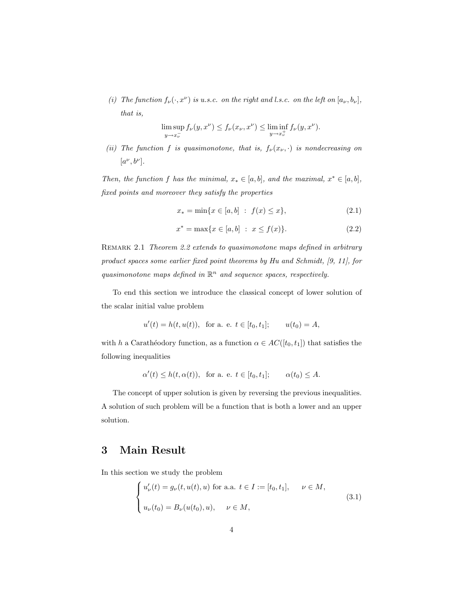(i) The function  $f_{\nu}(\cdot, x^{\nu})$  is u.s.c. on the right and l.s.c. on the left on  $[a_{\nu}, b_{\nu}]$ , that is,

$$
\limsup_{y \to x_{\nu}^{-}} f_{\nu}(y, x^{\nu}) \le f_{\nu}(x_{\nu}, x^{\nu}) \le \liminf_{y \to x_{\nu}^{+}} f_{\nu}(y, x^{\nu}).
$$

(ii) The function f is quasimonotone, that is,  $f_{\nu}(x_{\nu}, \cdot)$  is nondecreasing on  $[a^{\nu}, b^{\nu}].$ 

Then, the function f has the minimal,  $x_* \in [a, b]$ , and the maximal,  $x^* \in [a, b]$ , fixed points and moreover they satisfy the properties

$$
x_* = \min\{x \in [a, b] : f(x) \le x\},\tag{2.1}
$$

$$
x^* = \max\{x \in [a, b] : x \le f(x)\}.
$$
 (2.2)

REMARK 2.1 Theorem 2.2 extends to quasimonotone maps defined in arbitrary product spaces some earlier fixed point theorems by Hu and Schmidt, [9, 11], for quasimonotone maps defined in  $\mathbb{R}^n$  and sequence spaces, respectively.

To end this section we introduce the classical concept of lower solution of the scalar initial value problem

$$
u'(t) = h(t, u(t)),
$$
 for a. e.  $t \in [t_0, t_1];$   $u(t_0) = A,$ 

with h a Carathéodory function, as a function  $\alpha \in AC([t_0, t_1])$  that satisfies the following inequalities

$$
\alpha'(t) \le h(t, \alpha(t)), \text{ for a. e. } t \in [t_0, t_1]; \qquad \alpha(t_0) \le A.
$$

The concept of upper solution is given by reversing the previous inequalities. A solution of such problem will be a function that is both a lower and an upper solution.

### 3 Main Result

In this section we study the problem

$$
\begin{cases}\nu'_{\nu}(t) = g_{\nu}(t, u(t), u) \text{ for a.a. } t \in I := [t_0, t_1], \quad \nu \in M, \\
u_{\nu}(t_0) = B_{\nu}(u(t_0), u), \quad \nu \in M,\n\end{cases}
$$
\n(3.1)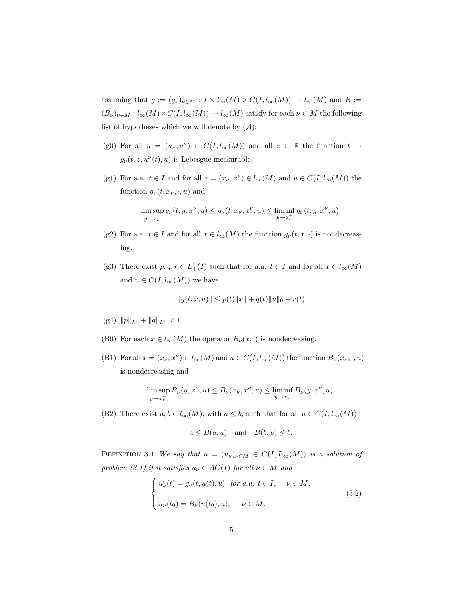assuming that  $g := (g_{\nu})_{\nu \in M} : I \times l_{\infty}(M) \times C(I, l_{\infty}(M)) \to l_{\infty}(M)$  and  $B :=$  $(B_\nu)_{\nu\in M}:l_\infty(M)\times C(I,l_\infty(M))\to l_\infty(M)$  satisfy for each  $\nu\in M$  the following list of hypotheses which we will denote by  $(A)$ :

- (g0) For all  $u = (u_{\nu}, u^{\nu}) \in C(I, l_{\infty}(M))$  and all  $z \in \mathbb{R}$  the function  $t \to$  $g_{\nu}(t, z, u^{\nu}(t), u)$  is Lebesgue measurable.
- (g1) For a.a.  $t \in I$  and for all  $x = (x_{\nu}, x^{\nu}) \in l_{\infty}(M)$  and  $u \in C(I, l_{\infty}(M))$  the function  $g_{\nu}(t, x_{\nu}, \cdot, u)$  and

$$
\limsup_{y \to x_{\nu}^-} g_{\nu}(t, y, x^{\nu}, u) \le g_{\nu}(t, x_{\nu}, x^{\nu}, u) \le \liminf_{y \to x_{\nu}^+} g_{\nu}(t, y, x^{\nu}, u).
$$

- (g2) For a.a.  $t \in I$  and for all  $x \in l_{\infty}(M)$  the function  $g_{\nu}(t, x, \cdot)$  is nondecreasing.
- (g3) There exist  $p, q, r \in L^1_+(I)$  such that for a.a.  $t \in I$  and for all  $x \in l_\infty(M)$ and  $u \in C(I, l_{\infty}(M))$  we have

$$
||g(t, x, u)|| \le p(t)||x|| + q(t)||u||_0 + r(t)
$$

- (g4)  $||p||_{L^1} + ||q||_{L^1} < 1.$
- (B0) For each  $x \in l_{\infty}(M)$  the operator  $B_{\nu}(x, \cdot)$  is nondecreasing.
- (B1) For all  $x = (x_{\nu}, x^{\nu}) \in l_{\infty}(M)$  and  $u \in C(I, l_{\infty}(M))$  the function  $B_{\nu}(x_{\nu}, \cdot, u)$ is nondecreasing and

$$
\limsup_{y\to x_\nu^-}B_\nu(y,x^\nu,u)\leq B_\nu(x_\nu,x^\nu,u)\leq \liminf_{y\to x_\nu^+}B_\nu(y,x^\nu,u).
$$

(B2) There exist  $a, b \in l_{\infty}(M)$ , with  $a \leq b$ , such that for all  $u \in C(I, l_{\infty}(M))$ 

$$
a \leq B(a, u)
$$
 and  $B(b, u) \leq b$ .

DEFINITION 3.1 We say that  $u = (u_{\nu})_{\nu \in M} \in C(I, L_{\infty}(M))$  is a solution of problem (3.1) if it satisfies  $u_{\nu} \in AC(I)$  for all  $\nu \in M$  and

$$
\begin{cases}\nu'_{\nu}(t) = g_{\nu}(t, u(t), u) & \text{for a.a. } t \in I, \quad \nu \in M, \\
u_{\nu}(t_0) = B_{\nu}(u(t_0), u), \quad \nu \in M.\n\end{cases}
$$
\n(3.2)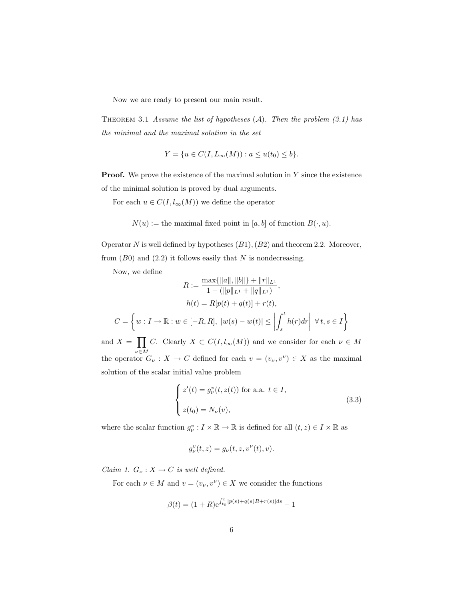Now we are ready to present our main result.

THEOREM 3.1 Assume the list of hypotheses  $(A)$ . Then the problem  $(3.1)$  has the minimal and the maximal solution in the set

$$
Y = \{ u \in C(I, L_{\infty}(M)) : a \le u(t_0) \le b \}.
$$

**Proof.** We prove the existence of the maximal solution in  $Y$  since the existence of the minimal solution is proved by dual arguments.

For each  $u \in C(I, l_{\infty}(M))$  we define the operator

 $N(u) :=$  the maximal fixed point in [a, b] of function  $B(\cdot, u)$ .

Operator N is well defined by hypotheses  $(B1)$ ,  $(B2)$  and theorem 2.2. Moreover, from  $(B0)$  and  $(2.2)$  it follows easily that N is nondecreasing.

Now, we define

Now, we define  
\n
$$
R := \frac{\max\{||a||, ||b||\} + ||r||_{L^{1}}}{1 - (||p||_{L^{1}} + ||q||_{L^{1}})},
$$
\n
$$
h(t) = R[p(t) + q(t)] + r(t),
$$
\n
$$
C = \left\{ w : I \to \mathbb{R} : w \in [-R, R], |w(s) - w(t)| \le \left| \int_{s}^{t} h(r) dr \right| \ \forall \, t, s \in I \right\}
$$

and  $X =$ ν∈M C. Clearly  $X \subset C(I, l_{\infty}(M))$  and we consider for each  $\nu \in M$ the operator  $G_{\nu}: X \to C$  defined for each  $v = (v_{\nu}, v^{\nu}) \in X$  as the maximal solution of the scalar initial value problem

$$
\begin{cases}\nz'(t) = g_{\nu}^v(t, z(t)) \text{ for a.a. } t \in I, \\
z(t_0) = N_{\nu}(v),\n\end{cases}
$$
\n(3.3)

where the scalar function  $g_{\nu}^v: I \times \mathbb{R} \to \mathbb{R}$  is defined for all  $(t, z) \in I \times \mathbb{R}$  as

$$
g_{\nu}^v(t,z) = g_{\nu}(t,z,v^{\nu}(t),v).
$$

Claim 1.  $G_{\nu}: X \to C$  is well defined.

For each  $\nu \in M$  and  $v = (v_{\nu}, v^{\nu}) \in X$  we consider the functions

$$
\beta(t) = (1+R)e^{\int_{t_0}^t [p(s)+q(s)R+r(s)]ds} - 1
$$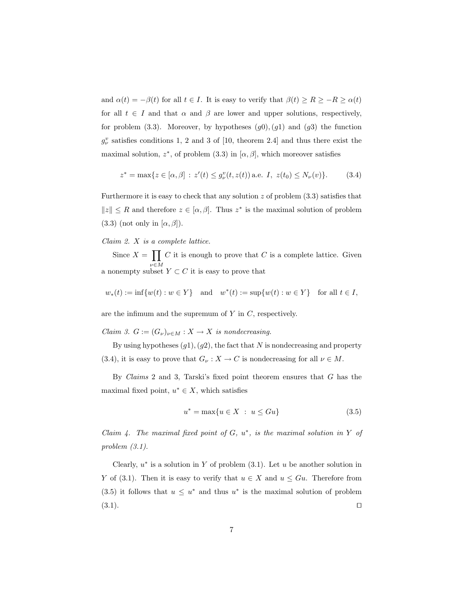and  $\alpha(t) = -\beta(t)$  for all  $t \in I$ . It is easy to verify that  $\beta(t) \ge R \ge -R \ge \alpha(t)$ for all  $t \in I$  and that  $\alpha$  and  $\beta$  are lower and upper solutions, respectively, for problem (3.3). Moreover, by hypotheses  $(g0), (g1)$  and  $(g3)$  the function  $g_{\nu}^{v}$  satisfies conditions 1, 2 and 3 of [10, theorem 2.4] and thus there exist the maximal solution,  $z^*$ , of problem (3.3) in [ $\alpha$ ,  $\beta$ ], which moreover satisfies

$$
z^* = \max\{z \in [\alpha, \beta] : z'(t) \le g_{\nu}^v(t, z(t)) \text{ a.e. } I, z(t_0) \le N_{\nu}(v)\}. \tag{3.4}
$$

Furthermore it is easy to check that any solution  $z$  of problem  $(3.3)$  satisfies that  $||z|| \leq R$  and therefore  $z \in [\alpha, \beta]$ . Thus  $z^*$  is the maximal solution of problem  $(3.3)$  (not only in  $[\alpha, \beta]$ ).

#### Claim 2. X is a complete lattice.

Since  $X =$  $\ddot{\phantom{1}}$ a nonempty subset  $Y \subset C$  it is easy to prove that  $C$  it is enough to prove that  $C$  is a complete lattice. Given

$$
w_*(t) := \inf \{ w(t) : w \in Y \}
$$
 and  $w^*(t) := \sup \{ w(t) : w \in Y \}$  for all  $t \in I$ ,

are the infimum and the supremum of  $Y$  in  $C$ , respectively.

Claim 3.  $G := (G_{\nu})_{\nu \in M} : X \to X$  is nondecreasing.

By using hypotheses  $(g1), (g2)$ , the fact that N is nondecreasing and property (3.4), it is easy to prove that  $G_{\nu}: X \to C$  is nondecreasing for all  $\nu \in M$ .

By *Claims* 2 and 3, Tarski's fixed point theorem ensures that  $G$  has the maximal fixed point,  $u^* \in X$ , which satisfies

$$
u^* = \max\{u \in X \ : \ u \leq Gu\}
$$
\n
$$
(3.5)
$$

Claim 4. The maximal fixed point of  $G, u^*$ , is the maximal solution in Y of problem (3.1).

Clearly,  $u^*$  is a solution in Y of problem  $(3.1)$ . Let u be another solution in Y of (3.1). Then it is easy to verify that  $u \in X$  and  $u \leq Gu$ . Therefore from (3.5) it follows that  $u \leq u^*$  and thus  $u^*$  is the maximal solution of problem  $(3.1)$ .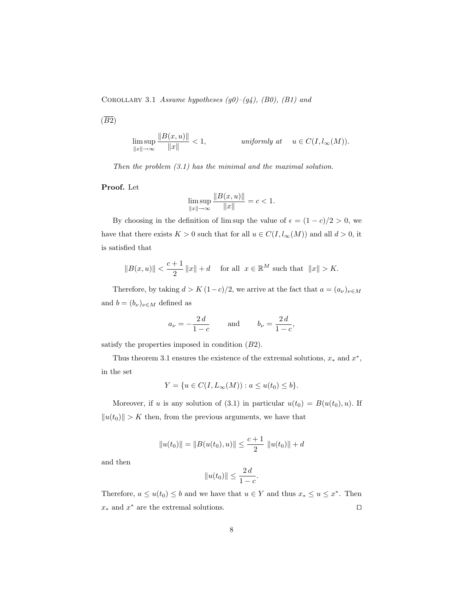COROLLARY 3.1 Assume hypotheses  $(g0)-(g4)$ ,  $(B0)$ ,  $(B1)$  and

 $(\overline{B2})$ 

$$
\limsup_{\|x\| \to \infty} \frac{\|B(x, u)\|}{\|x\|} < 1, \qquad \text{uniformly at} \quad u \in C(I, l_{\infty}(M)).
$$

Then the problem (3.1) has the minimal and the maximal solution.

Proof. Let

$$
\limsup_{\|x\| \to \infty} \frac{\|B(x, u)\|}{\|x\|} = c < 1.
$$

By choosing in the definition of lim sup the value of  $\epsilon = (1 - c)/2 > 0$ , we have that there exists  $K>0$  such that for all  $u\in C(I, l_{\infty}(M))$  and all  $d>0,$  it is satisfied that

$$
||B(x, u)|| < \frac{c+1}{2} ||x|| + d
$$
 for all  $x \in \mathbb{R}^M$  such that  $||x|| > K$ .

Therefore, by taking  $d > K (1-c)/2$ , we arrive at the fact that  $a = (a_{\nu})_{\nu \in M}$ and  $b=(b_\nu)_{\nu\in M}$  defined as

$$
a_{\nu} = -\frac{2d}{1-c} \quad \text{and} \quad b_{\nu} = \frac{2d}{1-c},
$$

satisfy the properties imposed in condition  $(B2)$ .

Thus theorem 3.1 ensures the existence of the extremal solutions,  $x_*$  and  $x^*$ , in the set

$$
Y = \{ u \in C(I, L_{\infty}(M)) : a \le u(t_0) \le b \}.
$$

Moreover, if u is any solution of (3.1) in particular  $u(t_0) = B(u(t_0), u)$ . If  $||u(t_0)|| > K$  then, from the previous arguments, we have that

$$
||u(t_0)|| = ||B(u(t_0), u)|| \le \frac{c+1}{2} ||u(t_0)|| + d
$$

and then

$$
||u(t_0)|| \le \frac{2 d}{1 - c}.
$$

Therefore,  $a \le u(t_0) \le b$  and we have that  $u \in Y$  and thus  $x_* \le u \le x^*$ . Then  $x_*$  and  $x^*$  are the extremal solutions.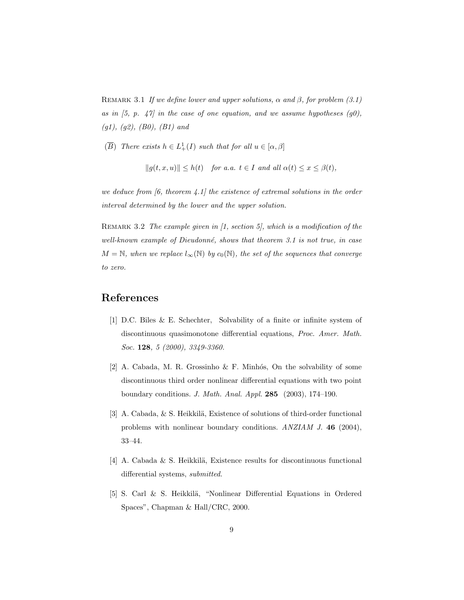REMARK 3.1 If we define lower and upper solutions,  $\alpha$  and  $\beta$ , for problem (3.1) as in  $(5, p. 47)$  in the case of one equation, and we assume hypotheses  $(g0)$ ,  $(g1), (g2), (B0), (B1)$  and

 $(\overline{B})$  There exists  $h \in L^1_+(I)$  such that for all  $u \in [\alpha, \beta]$ 

 $||q(t, x, u)|| < h(t)$  for a.a.  $t \in I$  and all  $\alpha(t) \leq x \leq \beta(t)$ ,

we deduce from  $(6,$  theorem  $(4.1)$  the existence of extremal solutions in the order interval determined by the lower and the upper solution.

REMARK 3.2 The example given in [1, section 5], which is a modification of the well-known example of Dieudonné, shows that theorem 3.1 is not true, in case  $M = \mathbb{N}$ , when we replace  $l_{\infty}(\mathbb{N})$  by  $c_0(\mathbb{N})$ , the set of the sequences that converge to zero.

## References

- [1] D.C. Biles & E. Schechter, Solvability of a finite or infinite system of discontinuous quasimonotone differential equations, Proc. Amer. Math. Soc. 128, 5 (2000), 3349-3360.
- [2] A. Cabada, M. R. Grossinho  $\&$  F. Minhós, On the solvability of some discontinuous third order nonlinear differential equations with two point boundary conditions. J. Math. Anal. Appl. 285 (2003), 174–190.
- [3] A. Cabada,  $&$  S. Heikkilä, Existence of solutions of third-order functional problems with nonlinear boundary conditions. ANZIAM J. 46 (2004), 33–44.
- [4] A. Cabada & S. Heikkilä, Existence results for discontinuous functional differential systems, *submitted*.
- [5] S. Carl & S. Heikkilä, "Nonlinear Differential Equations in Ordered Spaces", Chapman & Hall/CRC, 2000.